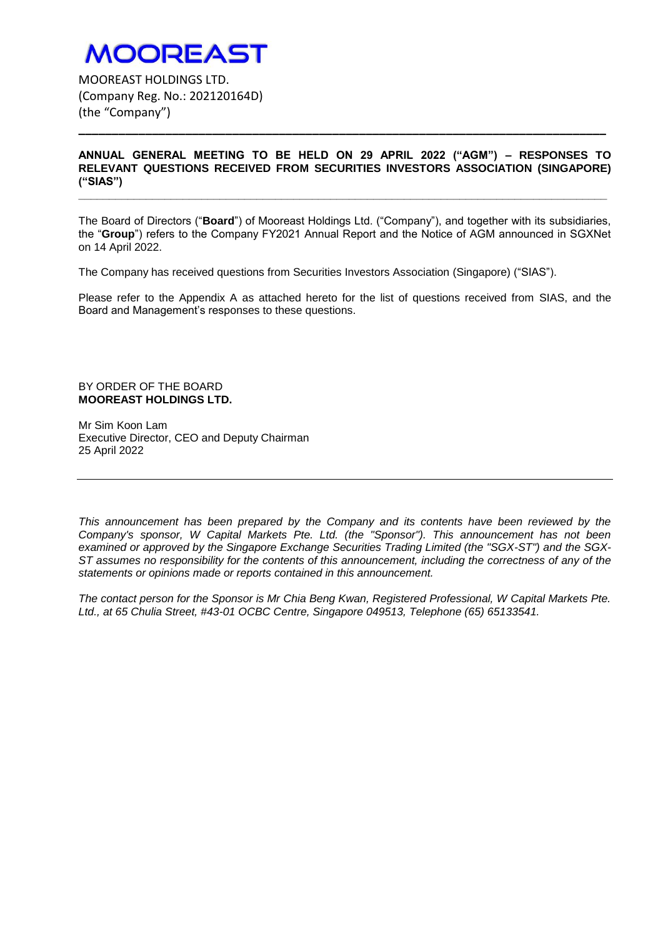### **MOOREAST**

MOOREAST HOLDINGS LTD. (Company Reg. No.: 202120164D) (the "Company")

### **ANNUAL GENERAL MEETING TO BE HELD ON 29 APRIL 2022 ("AGM") – RESPONSES TO RELEVANT QUESTIONS RECEIVED FROM SECURITIES INVESTORS ASSOCIATION (SINGAPORE) ("SIAS")**

**\_\_\_\_\_\_\_\_\_\_\_\_\_\_\_\_\_\_\_\_\_\_\_\_\_\_\_\_\_\_\_\_\_\_\_\_\_\_\_\_\_\_\_\_\_\_\_\_\_\_\_\_\_\_\_\_\_\_\_\_\_\_\_\_\_\_\_\_\_\_\_\_\_\_\_\_\_\_\_\_\_\_\_\_\_\_**

**\_\_\_\_\_\_\_\_\_\_\_\_\_\_\_\_\_\_\_\_\_\_\_\_\_\_\_\_\_\_\_\_\_\_\_\_\_\_\_\_\_\_\_\_\_\_\_\_\_\_\_\_\_\_\_\_\_\_\_\_\_\_\_\_\_\_\_\_\_\_\_\_\_\_\_\_\_\_\_**

The Board of Directors ("**Board**") of Mooreast Holdings Ltd. ("Company"), and together with its subsidiaries, the "**Group**") refers to the Company FY2021 Annual Report and the Notice of AGM announced in SGXNet on 14 April 2022.

The Company has received questions from Securities Investors Association (Singapore) ("SIAS").

Please refer to the Appendix A as attached hereto for the list of questions received from SIAS, and the Board and Management's responses to these questions.

### BY ORDER OF THE BOARD **MOOREAST HOLDINGS LTD.**

Mr Sim Koon Lam Executive Director, CEO and Deputy Chairman 25 April 2022

*This announcement has been prepared by the Company and its contents have been reviewed by the Company's sponsor, W Capital Markets Pte. Ltd. (the "Sponsor"). This announcement has not been examined or approved by the Singapore Exchange Securities Trading Limited (the "SGX-ST") and the SGX-ST assumes no responsibility for the contents of this announcement, including the correctness of any of the statements or opinions made or reports contained in this announcement.* 

*The contact person for the Sponsor is Mr Chia Beng Kwan, Registered Professional, W Capital Markets Pte. Ltd., at 65 Chulia Street, #43-01 OCBC Centre, Singapore 049513, Telephone (65) 65133541.*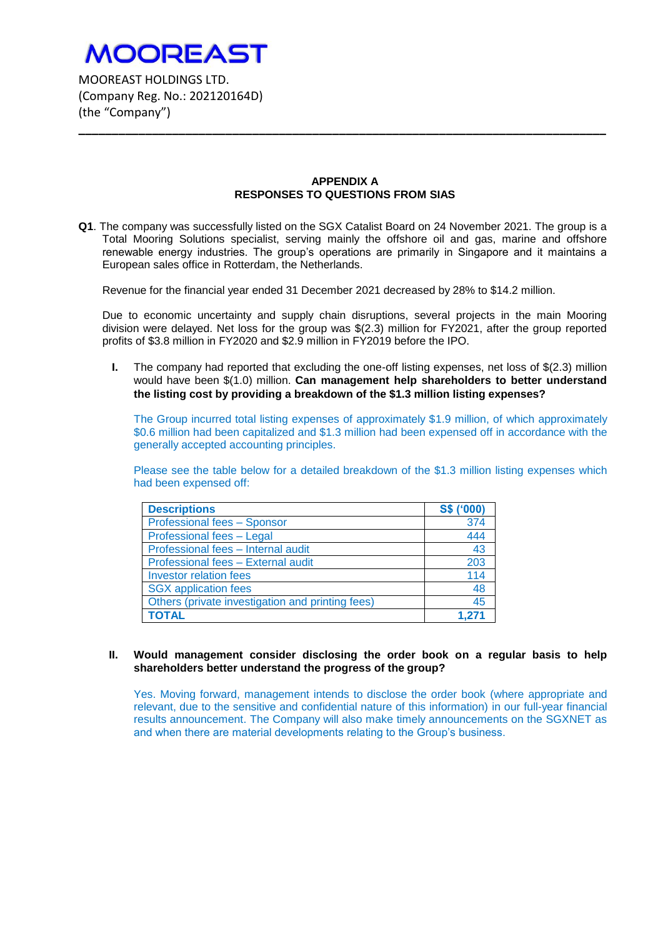

MOOREAST HOLDINGS LTD. (Company Reg. No.: 202120164D) (the "Company")

### **APPENDIX A RESPONSES TO QUESTIONS FROM SIAS**

**\_\_\_\_\_\_\_\_\_\_\_\_\_\_\_\_\_\_\_\_\_\_\_\_\_\_\_\_\_\_\_\_\_\_\_\_\_\_\_\_\_\_\_\_\_\_\_\_\_\_\_\_\_\_\_\_\_\_\_\_\_\_\_\_\_\_\_\_\_\_\_\_\_\_\_\_\_\_\_**

**Q1**. The company was successfully listed on the SGX Catalist Board on 24 November 2021. The group is a Total Mooring Solutions specialist, serving mainly the offshore oil and gas, marine and offshore renewable energy industries. The group's operations are primarily in Singapore and it maintains a European sales office in Rotterdam, the Netherlands.

Revenue for the financial year ended 31 December 2021 decreased by 28% to \$14.2 million.

Due to economic uncertainty and supply chain disruptions, several projects in the main Mooring division were delayed. Net loss for the group was \$(2.3) million for FY2021, after the group reported profits of \$3.8 million in FY2020 and \$2.9 million in FY2019 before the IPO.

**I.** The company had reported that excluding the one-off listing expenses, net loss of \$(2.3) million would have been \$(1.0) million. **Can management help shareholders to better understand the listing cost by providing a breakdown of the \$1.3 million listing expenses?**

The Group incurred total listing expenses of approximately \$1.9 million, of which approximately \$0.6 million had been capitalized and \$1.3 million had been expensed off in accordance with the generally accepted accounting principles.

Please see the table below for a detailed breakdown of the \$1.3 million listing expenses which had been expensed off:

| <b>Descriptions</b>                              | S\$ ('000) |
|--------------------------------------------------|------------|
| Professional fees - Sponsor                      | 374        |
| Professional fees - Legal                        | 444        |
| Professional fees - Internal audit               | 43         |
| Professional fees - External audit               | 203        |
| <b>Investor relation fees</b>                    | 114        |
| <b>SGX</b> application fees                      | 48         |
| Others (private investigation and printing fees) | 45         |
| <b>TOTAL</b>                                     | 1.271      |

### **II. Would management consider disclosing the order book on a regular basis to help shareholders better understand the progress of the group?**

Yes. Moving forward, management intends to disclose the order book (where appropriate and relevant, due to the sensitive and confidential nature of this information) in our full-year financial results announcement. The Company will also make timely announcements on the SGXNET as and when there are material developments relating to the Group's business.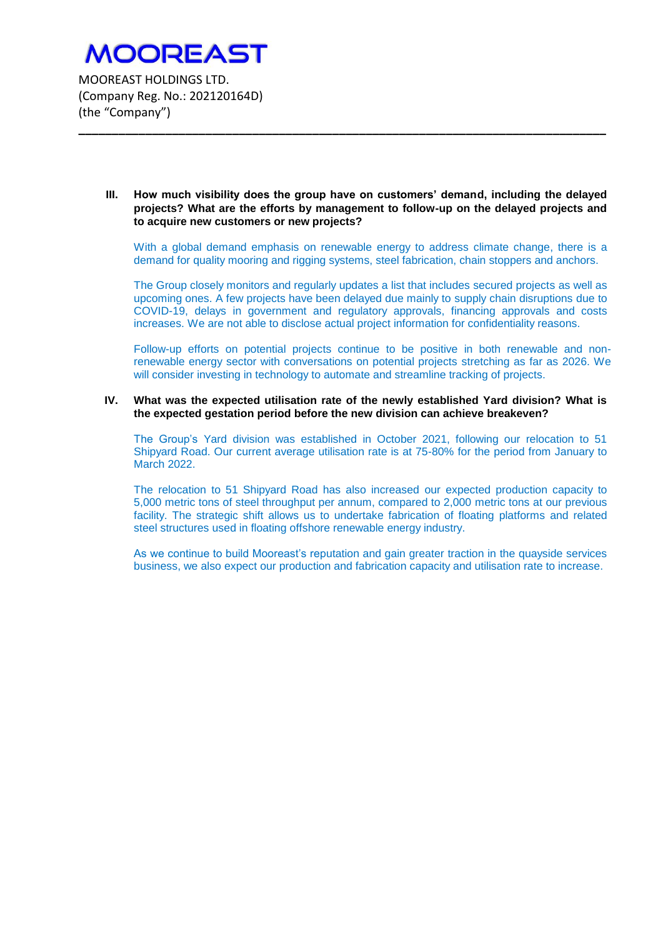### **III. How much visibility does the group have on customers' demand, including the delayed projects? What are the efforts by management to follow-up on the delayed projects and to acquire new customers or new projects?**

**\_\_\_\_\_\_\_\_\_\_\_\_\_\_\_\_\_\_\_\_\_\_\_\_\_\_\_\_\_\_\_\_\_\_\_\_\_\_\_\_\_\_\_\_\_\_\_\_\_\_\_\_\_\_\_\_\_\_\_\_\_\_\_\_\_\_\_\_\_\_\_\_\_\_\_\_\_\_\_**

With a global demand emphasis on renewable energy to address climate change, there is a demand for quality mooring and rigging systems, steel fabrication, chain stoppers and anchors.

The Group closely monitors and regularly updates a list that includes secured projects as well as upcoming ones. A few projects have been delayed due mainly to supply chain disruptions due to COVID-19, delays in government and regulatory approvals, financing approvals and costs increases. We are not able to disclose actual project information for confidentiality reasons.

Follow-up efforts on potential projects continue to be positive in both renewable and nonrenewable energy sector with conversations on potential projects stretching as far as 2026. We will consider investing in technology to automate and streamline tracking of projects.

### **IV. What was the expected utilisation rate of the newly established Yard division? What is the expected gestation period before the new division can achieve breakeven?**

The Group's Yard division was established in October 2021, following our relocation to 51 Shipyard Road. Our current average utilisation rate is at 75-80% for the period from January to March 2022.

The relocation to 51 Shipyard Road has also increased our expected production capacity to 5,000 metric tons of steel throughput per annum, compared to 2,000 metric tons at our previous facility. The strategic shift allows us to undertake fabrication of floating platforms and related steel structures used in floating offshore renewable energy industry.

As we continue to build Mooreast's reputation and gain greater traction in the quayside services business, we also expect our production and fabrication capacity and utilisation rate to increase.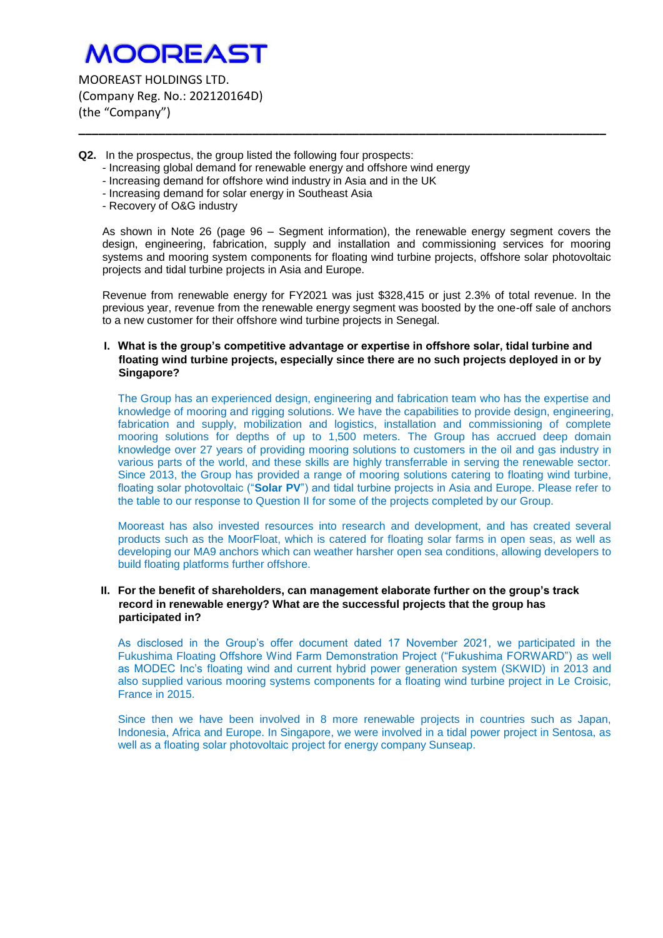# **MOOREAST**

MOOREAST HOLDINGS LTD. (Company Reg. No.: 202120164D) (the "Company")

- **Q2.** In the prospectus, the group listed the following four prospects:
	- Increasing global demand for renewable energy and offshore wind energy
	- Increasing demand for offshore wind industry in Asia and in the UK
	- Increasing demand for solar energy in Southeast Asia
	- Recovery of O&G industry

As shown in Note 26 (page 96 – Segment information), the renewable energy segment covers the design, engineering, fabrication, supply and installation and commissioning services for mooring systems and mooring system components for floating wind turbine projects, offshore solar photovoltaic projects and tidal turbine projects in Asia and Europe.

**\_\_\_\_\_\_\_\_\_\_\_\_\_\_\_\_\_\_\_\_\_\_\_\_\_\_\_\_\_\_\_\_\_\_\_\_\_\_\_\_\_\_\_\_\_\_\_\_\_\_\_\_\_\_\_\_\_\_\_\_\_\_\_\_\_\_\_\_\_\_\_\_\_\_\_\_\_\_\_**

Revenue from renewable energy for FY2021 was just \$328,415 or just 2.3% of total revenue. In the previous year, revenue from the renewable energy segment was boosted by the one-off sale of anchors to a new customer for their offshore wind turbine projects in Senegal.

### **I. What is the group's competitive advantage or expertise in offshore solar, tidal turbine and floating wind turbine projects, especially since there are no such projects deployed in or by Singapore?**

The Group has an experienced design, engineering and fabrication team who has the expertise and knowledge of mooring and rigging solutions. We have the capabilities to provide design, engineering, fabrication and supply, mobilization and logistics, installation and commissioning of complete mooring solutions for depths of up to 1,500 meters. The Group has accrued deep domain knowledge over 27 years of providing mooring solutions to customers in the oil and gas industry in various parts of the world, and these skills are highly transferrable in serving the renewable sector. Since 2013, the Group has provided a range of mooring solutions catering to floating wind turbine, floating solar photovoltaic ("**Solar PV**") and tidal turbine projects in Asia and Europe. Please refer to the table to our response to Question II for some of the projects completed by our Group.

Mooreast has also invested resources into research and development, and has created several products such as the MoorFloat, which is catered for floating solar farms in open seas, as well as developing our MA9 anchors which can weather harsher open sea conditions, allowing developers to build floating platforms further offshore.

### **II. For the benefit of shareholders, can management elaborate further on the group's track record in renewable energy? What are the successful projects that the group has participated in?**

As disclosed in the Group's offer document dated 17 November 2021, we participated in the Fukushima Floating Offshore Wind Farm Demonstration Project ("Fukushima FORWARD") as well as MODEC Inc's floating wind and current hybrid power generation system (SKWID) in 2013 and also supplied various mooring systems components for a floating wind turbine project in Le Croisic, France in 2015.

Since then we have been involved in 8 more renewable projects in countries such as Japan, Indonesia, Africa and Europe. In Singapore, we were involved in a tidal power project in Sentosa, as well as a floating solar photovoltaic project for energy company Sunseap.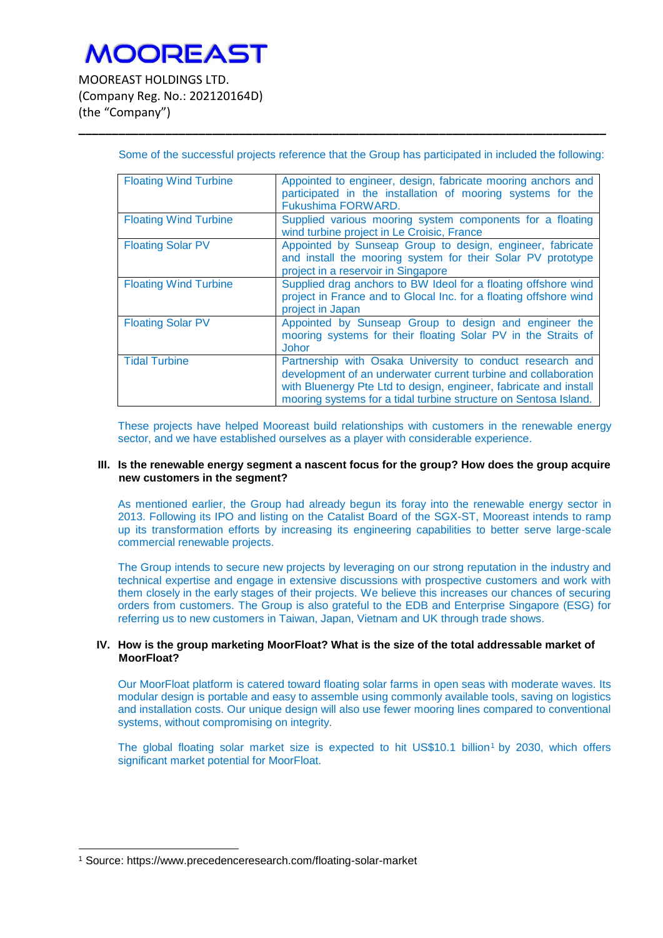# **MOOREAST**

MOOREAST HOLDINGS LTD. (Company Reg. No.: 202120164D) (the "Company")

| <b>Floating Wind Turbine</b> | Appointed to engineer, design, fabricate mooring anchors and<br>participated in the installation of mooring systems for the<br>Fukushima FORWARD.                                                                                                                    |
|------------------------------|----------------------------------------------------------------------------------------------------------------------------------------------------------------------------------------------------------------------------------------------------------------------|
| <b>Floating Wind Turbine</b> | Supplied various mooring system components for a floating<br>wind turbine project in Le Croisic, France                                                                                                                                                              |
| <b>Floating Solar PV</b>     | Appointed by Sunseap Group to design, engineer, fabricate<br>and install the mooring system for their Solar PV prototype<br>project in a reservoir in Singapore                                                                                                      |
| <b>Floating Wind Turbine</b> | Supplied drag anchors to BW Ideol for a floating offshore wind<br>project in France and to Glocal Inc. for a floating offshore wind<br>project in Japan                                                                                                              |
| <b>Floating Solar PV</b>     | Appointed by Sunseap Group to design and engineer the<br>mooring systems for their floating Solar PV in the Straits of<br><b>Johor</b>                                                                                                                               |
| <b>Tidal Turbine</b>         | Partnership with Osaka University to conduct research and<br>development of an underwater current turbine and collaboration<br>with Bluenergy Pte Ltd to design, engineer, fabricate and install<br>mooring systems for a tidal turbine structure on Sentosa Island. |

Some of the successful projects reference that the Group has participated in included the following:

**\_\_\_\_\_\_\_\_\_\_\_\_\_\_\_\_\_\_\_\_\_\_\_\_\_\_\_\_\_\_\_\_\_\_\_\_\_\_\_\_\_\_\_\_\_\_\_\_\_\_\_\_\_\_\_\_\_\_\_\_\_\_\_\_\_\_\_\_\_\_\_\_\_\_\_\_\_\_\_**

These projects have helped Mooreast build relationships with customers in the renewable energy sector, and we have established ourselves as a player with considerable experience.

#### **III. Is the renewable energy segment a nascent focus for the group? How does the group acquire new customers in the segment?**

As mentioned earlier, the Group had already begun its foray into the renewable energy sector in 2013. Following its IPO and listing on the Catalist Board of the SGX-ST, Mooreast intends to ramp up its transformation efforts by increasing its engineering capabilities to better serve large-scale commercial renewable projects.

The Group intends to secure new projects by leveraging on our strong reputation in the industry and technical expertise and engage in extensive discussions with prospective customers and work with them closely in the early stages of their projects. We believe this increases our chances of securing orders from customers. The Group is also grateful to the EDB and Enterprise Singapore (ESG) for referring us to new customers in Taiwan, Japan, Vietnam and UK through trade shows.

### **IV. How is the group marketing MoorFloat? What is the size of the total addressable market of MoorFloat?**

Our MoorFloat platform is catered toward floating solar farms in open seas with moderate waves. Its modular design is portable and easy to assemble using commonly available tools, saving on logistics and installation costs. Our unique design will also use fewer mooring lines compared to conventional systems, without compromising on integrity.

The global floating solar market size is expected to hit US\$10.1 billion<sup>1</sup> by 2030, which offers significant market potential for MoorFloat.

 $\overline{a}$ 

<sup>1</sup> Source: https://www.precedenceresearch.com/floating-solar-market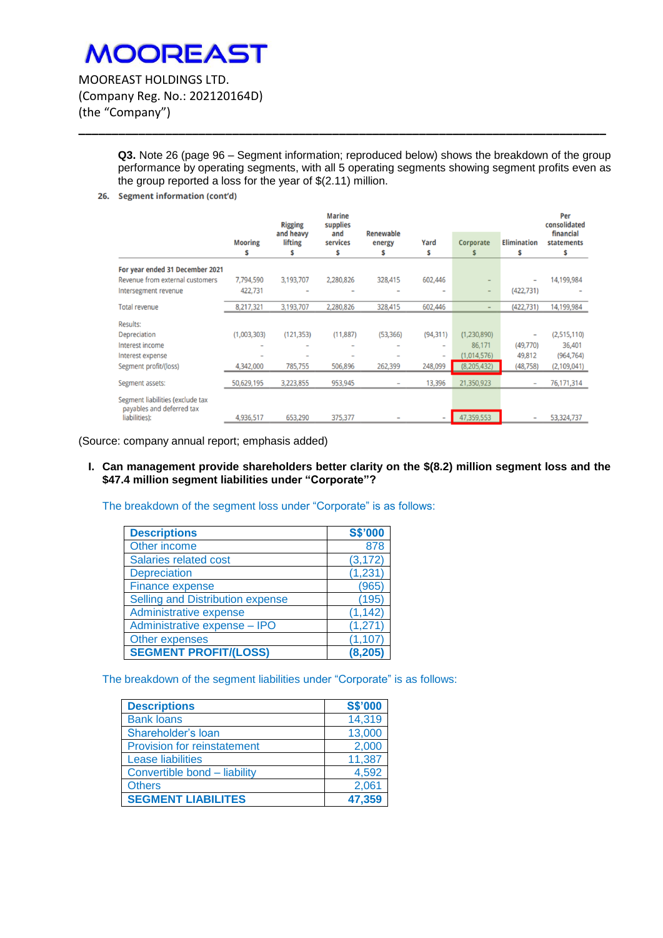MOOREAST HOLDINGS LTD. (Company Reg. No.: 202120164D) (the "Company")

> **Q3.** Note 26 (page 96 – Segment information; reproduced below) shows the breakdown of the group performance by operating segments, with all 5 operating segments showing segment profits even as the group reported a loss for the year of \$(2.11) million.

**\_\_\_\_\_\_\_\_\_\_\_\_\_\_\_\_\_\_\_\_\_\_\_\_\_\_\_\_\_\_\_\_\_\_\_\_\_\_\_\_\_\_\_\_\_\_\_\_\_\_\_\_\_\_\_\_\_\_\_\_\_\_\_\_\_\_\_\_\_\_\_\_\_\_\_\_\_\_\_**

26. Segment information (cont'd)

|                                                               |                     | <b>Rigging</b>                   | <b>Marine</b><br>supplies |                                 |                              |                  |                          | Per<br>consolidated          |
|---------------------------------------------------------------|---------------------|----------------------------------|---------------------------|---------------------------------|------------------------------|------------------|--------------------------|------------------------------|
|                                                               | <b>Mooring</b><br>s | and heavy<br><b>lifting</b><br>s | and<br>services<br>\$     | <b>Renewable</b><br>energy<br>s | Yard<br>\$                   | <b>Corporate</b> | <b>Elimination</b><br>\$ | financial<br>statements<br>s |
| For year ended 31 December 2021                               |                     |                                  |                           |                                 |                              |                  |                          |                              |
| Revenue from external customers                               | 7,794,590           | 3,193,707                        | 2,280,826                 | 328,415                         | 602,446                      |                  |                          | 14,199,984                   |
| Intersegment revenue                                          | 422,731             |                                  |                           |                                 | -                            |                  | (422, 731)               |                              |
| <b>Total revenue</b>                                          | 8,217,321           | 3,193,707                        | 2,280,826                 | 328,415                         | 602,446                      |                  | (422, 731)               | 14,199,984                   |
| <b>Results:</b>                                               |                     |                                  |                           |                                 |                              |                  |                          |                              |
| Depreciation                                                  | (1,003,303)         | (121, 353)                       | (11, 887)                 | (53, 366)                       | (94, 311)                    | (1,230,890)      |                          | (2,515,110)                  |
| Interest income                                               |                     |                                  |                           |                                 | $\qquad \qquad \blacksquare$ | 86,171           | (49,770)                 | 36,401                       |
| Interest expense                                              |                     |                                  |                           |                                 | $\qquad \qquad \blacksquare$ | (1,014,576)      | 49,812                   | (964, 764)                   |
| Segment profit/(loss)                                         | 4,342,000           | 785,755                          | 506,896                   | 262,399                         | 248,099                      | (8, 205, 432)    | (48, 758)                | (2,109,041)                  |
| Segment assets:                                               | 50,629,195          | 3,223,855                        | 953,945                   | $\qquad \qquad \blacksquare$    | 13,396                       | 21,350,923       |                          | 76,171,314                   |
| Segment liabilities (exclude tax<br>payables and deferred tax |                     |                                  |                           |                                 |                              |                  |                          |                              |
| liabilities):                                                 | 4,936,517           | 653,290                          | 375,377                   |                                 | $\qquad \qquad$              | 47,359,553       |                          | 53,324,737                   |

(Source: company annual report; emphasis added)

**I. Can management provide shareholders better clarity on the \$(8.2) million segment loss and the \$47.4 million segment liabilities under "Corporate"?**

The breakdown of the segment loss under "Corporate" is as follows:

| <b>Descriptions</b>              | <b>S\$'000</b> |
|----------------------------------|----------------|
| Other income                     | 878            |
| Salaries related cost            | (3, 172)       |
| <b>Depreciation</b>              | (1, 231)       |
| <b>Finance expense</b>           | (965)          |
| Selling and Distribution expense | (195)          |
| Administrative expense           | (1, 142)       |
| Administrative expense - IPO     | (1, 271)       |
| Other expenses                   | (1, 107)       |
| <b>SEGMENT PROFIT/(LOSS)</b>     | (8, 205)       |

The breakdown of the segment liabilities under "Corporate" is as follows:

| <b>Descriptions</b>                | <b>S\$'000</b> |
|------------------------------------|----------------|
| <b>Bank loans</b>                  | 14,319         |
| Shareholder's loan                 | 13,000         |
| <b>Provision for reinstatement</b> | 2,000          |
| Lease liabilities                  | 11,387         |
| Convertible bond - liability       | 4,592          |
| <b>Others</b>                      | 2,061          |
| <b>SEGMENT LIABILITES</b>          | 47,359         |